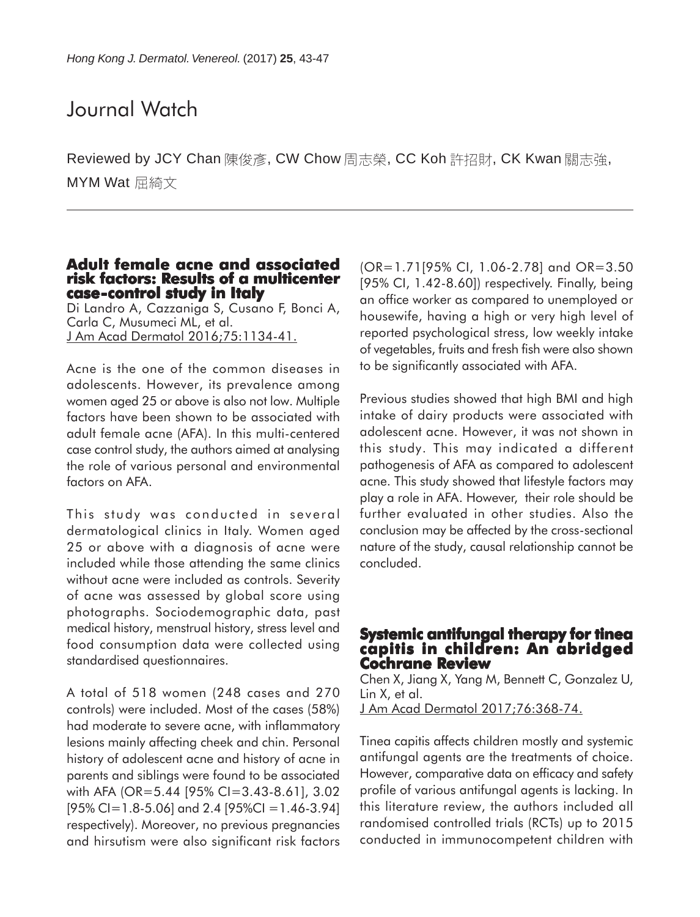# Journal Watch

Reviewed by JCY Chan 陳俊彥, CW Chow 周志榮, CC Koh 許招財, CK Kwan 關志強, MYM Wat 屈綺文

#### **Adult female acne and associated risk factors: Results of a multicenter case-control study in Italy**

Di Landro A, Cazzaniga S, Cusano F, Bonci A, Carla C, Musumeci ML, et al. J Am Acad Dermatol 2016;75:1134-41.

Acne is the one of the common diseases in adolescents. However, its prevalence among women aged 25 or above is also not low. Multiple factors have been shown to be associated with adult female acne (AFA). In this multi-centered case control study, the authors aimed at analysing the role of various personal and environmental factors on AFA.

This study was conducted in several dermatological clinics in Italy. Women aged 25 or above with a diagnosis of acne were included while those attending the same clinics without acne were included as controls. Severity of acne was assessed by global score using photographs. Sociodemographic data, past medical history, menstrual history, stress level and food consumption data were collected using standardised questionnaires.

A total of 518 women (248 cases and 270 controls) were included. Most of the cases (58%) had moderate to severe acne, with inflammatory lesions mainly affecting cheek and chin. Personal history of adolescent acne and history of acne in parents and siblings were found to be associated with AFA (OR=5.44 [95% CI=3.43-8.61], 3.02  $[95\%$  CI=1.8-5.06] and 2.4  $[95\%$ CI =1.46-3.94] respectively). Moreover, no previous pregnancies and hirsutism were also significant risk factors

(OR=1.71[95% CI, 1.06-2.78] and OR=3.50 [95% CI, 1.42-8.60]) respectively. Finally, being an office worker as compared to unemployed or housewife, having a high or very high level of reported psychological stress, low weekly intake of vegetables, fruits and fresh fish were also shown to be significantly associated with AFA.

Previous studies showed that high BMI and high intake of dairy products were associated with adolescent acne. However, it was not shown in this study. This may indicated a different pathogenesis of AFA as compared to adolescent acne. This study showed that lifestyle factors may play a role in AFA. However, their role should be further evaluated in other studies. Also the conclusion may be affected by the cross-sectional nature of the study, causal relationship cannot be concluded.

### **Systemic antifungal therapy for tinea capitis in children: An abridged Cochrane Review**

Chen X, Jiang X, Yang M, Bennett C, Gonzalez U, Lin X, et al.

J Am Acad Dermatol 2017;76:368-74.

Tinea capitis affects children mostly and systemic antifungal agents are the treatments of choice. However, comparative data on efficacy and safety profile of various antifungal agents is lacking. In this literature review, the authors included all randomised controlled trials (RCTs) up to 2015 conducted in immunocompetent children with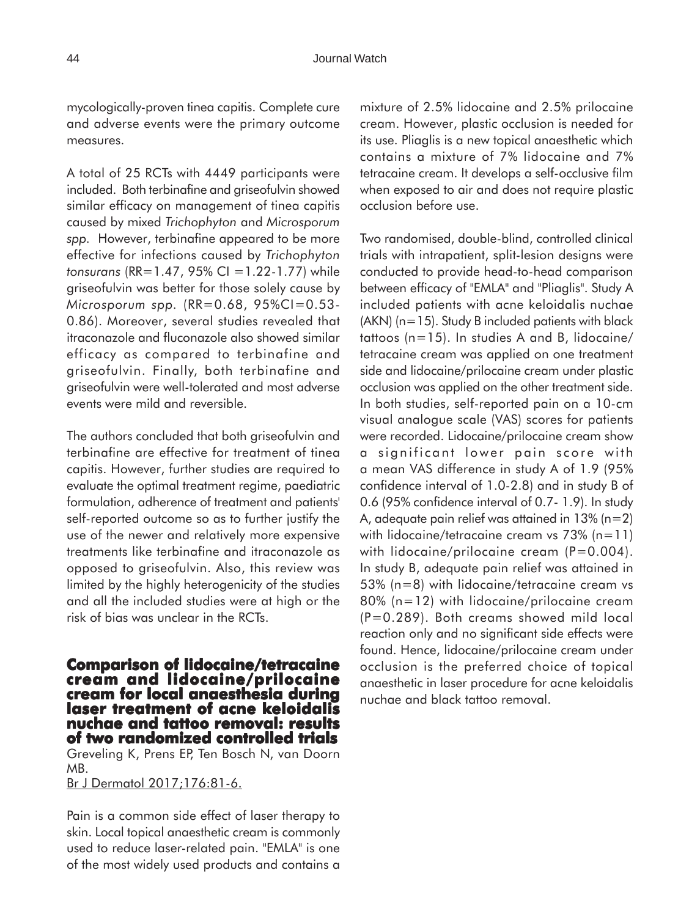mycologically-proven tinea capitis. Complete cure and adverse events were the primary outcome measures.

A total of 25 RCTs with 4449 participants were included. Both terbinafine and griseofulvin showed similar efficacy on management of tinea capitis caused by mixed *Trichophyton* and *Microsporum spp.* However, terbinafine appeared to be more effective for infections caused by *Trichophyton tonsurans* (RR=1.47, 95% CI =1.22-1.77) while griseofulvin was better for those solely cause by *Microsporum spp.* (RR=0.68, 95%CI=0.53- 0.86). Moreover, several studies revealed that itraconazole and fluconazole also showed similar efficacy as compared to terbinafine and griseofulvin. Finally, both terbinafine and griseofulvin were well-tolerated and most adverse events were mild and reversible.

The authors concluded that both griseofulvin and terbinafine are effective for treatment of tinea capitis. However, further studies are required to evaluate the optimal treatment regime, paediatric formulation, adherence of treatment and patients' self-reported outcome so as to further justify the use of the newer and relatively more expensive treatments like terbinafine and itraconazole as opposed to griseofulvin. Also, this review was limited by the highly heterogenicity of the studies and all the included studies were at high or the risk of bias was unclear in the RCTs.

**Comparison of lidocaine/tetracaine cream and lidocaine/prilocaine cream for local anaesthesia during laser treatment of acne keloidalis nuchae and tattoo removal: results of two randomized controlled trials**

Greveling K, Prens EP, Ten Bosch N, van Doorn MB.

Br J Dermatol 2017;176:81-6.

Pain is a common side effect of laser therapy to skin. Local topical anaesthetic cream is commonly used to reduce laser-related pain. "EMLA" is one of the most widely used products and contains a

mixture of 2.5% lidocaine and 2.5% prilocaine cream. However, plastic occlusion is needed for its use. Pliaglis is a new topical anaesthetic which contains a mixture of 7% lidocaine and 7% tetracaine cream. It develops a self-occlusive film when exposed to air and does not require plastic occlusion before use.

Two randomised, double-blind, controlled clinical trials with intrapatient, split-lesion designs were conducted to provide head-to-head comparison between efficacy of "EMLA" and "Pliaglis". Study A included patients with acne keloidalis nuchae  $(AKN)$  ( $n=15$ ). Study B included patients with black tattoos (n=15). In studies A and B, lidocaine/ tetracaine cream was applied on one treatment side and lidocaine/prilocaine cream under plastic occlusion was applied on the other treatment side. In both studies, self-reported pain on a 10-cm visual analogue scale (VAS) scores for patients were recorded. Lidocaine/prilocaine cream show a significant lower pain score with a mean VAS difference in study A of 1.9 (95% confidence interval of 1.0-2.8) and in study B of 0.6 (95% confidence interval of 0.7- 1.9). In study A, adequate pain relief was attained in 13% (n=2) with lidocaine/tetracaine cream vs 73% (n=11) with lidocaine/prilocaine cream (P=0.004). In study B, adequate pain relief was attained in 53% (n=8) with lidocaine/tetracaine cream vs 80% (n=12) with lidocaine/prilocaine cream (P=0.289). Both creams showed mild local reaction only and no significant side effects were found. Hence, lidocaine/prilocaine cream under occlusion is the preferred choice of topical anaesthetic in laser procedure for acne keloidalis nuchae and black tattoo removal.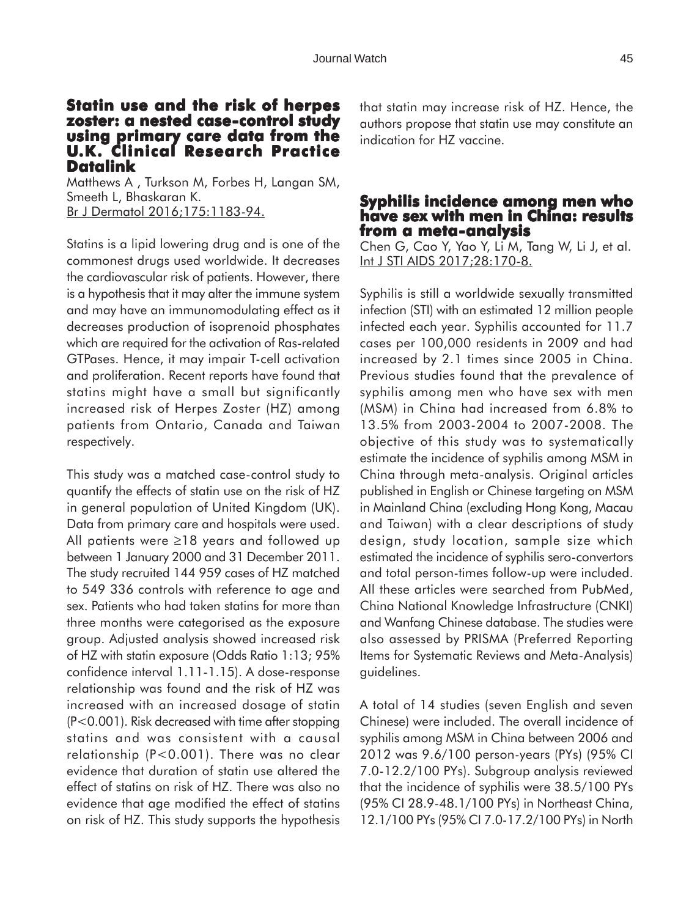#### **Statin use and the risk of herpes zoster: a nested case-control study using primary care data from the U.K. Clinical Research Practice Datalink**

Matthews A , Turkson M, Forbes H, Langan SM, Smeeth L, Bhaskaran K. Br J Dermatol 2016;175:1183-94.

Statins is a lipid lowering drug and is one of the commonest drugs used worldwide. It decreases the cardiovascular risk of patients. However, there is a hypothesis that it may alter the immune system and may have an immunomodulating effect as it decreases production of isoprenoid phosphates which are required for the activation of Ras-related GTPases. Hence, it may impair T-cell activation and proliferation. Recent reports have found that statins might have a small but significantly increased risk of Herpes Zoster (HZ) among patients from Ontario, Canada and Taiwan respectively.

This study was a matched case-control study to quantify the effects of statin use on the risk of HZ in general population of United Kingdom (UK). Data from primary care and hospitals were used. All patients were ≥18 years and followed up between 1 January 2000 and 31 December 2011. The study recruited 144 959 cases of HZ matched to 549 336 controls with reference to age and sex. Patients who had taken statins for more than three months were categorised as the exposure group. Adjusted analysis showed increased risk of HZ with statin exposure (Odds Ratio 1:13; 95% confidence interval 1.11-1.15). A dose-response relationship was found and the risk of HZ was increased with an increased dosage of statin (P<0.001). Risk decreased with time after stopping statins and was consistent with a causal relationship (P<0.001). There was no clear evidence that duration of statin use altered the effect of statins on risk of HZ. There was also no evidence that age modified the effect of statins on risk of HZ. This study supports the hypothesis that statin may increase risk of HZ. Hence, the authors propose that statin use may constitute an indication for HZ vaccine.

#### **Syphilis incidence among men who have sex with men in China: results from a meta-analysis**

Chen G, Cao Y, Yao Y, Li M, Tang W, Li J, et al. Int J STI AIDS 2017;28:170-8.

Syphilis is still a worldwide sexually transmitted infection (STI) with an estimated 12 million people infected each year. Syphilis accounted for 11.7 cases per 100,000 residents in 2009 and had increased by 2.1 times since 2005 in China. Previous studies found that the prevalence of syphilis among men who have sex with men (MSM) in China had increased from 6.8% to 13.5% from 2003-2004 to 2007-2008. The objective of this study was to systematically estimate the incidence of syphilis among MSM in China through meta-analysis. Original articles published in English or Chinese targeting on MSM in Mainland China (excluding Hong Kong, Macau and Taiwan) with a clear descriptions of study design, study location, sample size which estimated the incidence of syphilis sero-convertors and total person-times follow-up were included. All these articles were searched from PubMed, China National Knowledge Infrastructure (CNKI) and Wanfang Chinese database. The studies were also assessed by PRISMA (Preferred Reporting Items for Systematic Reviews and Meta-Analysis) guidelines.

A total of 14 studies (seven English and seven Chinese) were included. The overall incidence of syphilis among MSM in China between 2006 and 2012 was 9.6/100 person-years (PYs) (95% CI 7.0-12.2/100 PYs). Subgroup analysis reviewed that the incidence of syphilis were 38.5/100 PYs (95% CI 28.9-48.1/100 PYs) in Northeast China, 12.1/100 PYs (95% CI 7.0-17.2/100 PYs) in North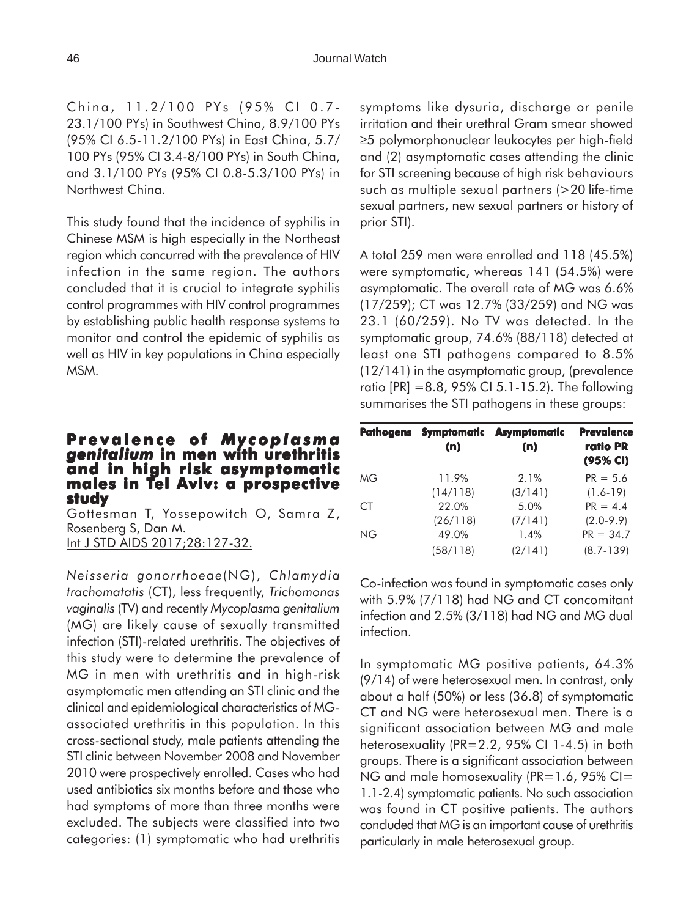China, 11.2/100 PYs (95% CI 0.7- 23.1/100 PYs) in Southwest China, 8.9/100 PYs (95% CI 6.5-11.2/100 PYs) in East China, 5.7/ 100 PYs (95% CI 3.4-8/100 PYs) in South China, and 3.1/100 PYs (95% CI 0.8-5.3/100 PYs) in Northwest China.

This study found that the incidence of syphilis in Chinese MSM is high especially in the Northeast region which concurred with the prevalence of HIV infection in the same region. The authors concluded that it is crucial to integrate syphilis control programmes with HIV control programmes by establishing public health response systems to monitor and control the epidemic of syphilis as well as HIV in key populations in China especially MSM.

# **Prevalence of of** *Mycoplasma genitalium* **in men with urethritis and in high risk asymptomatic males in Tel Aviv: a prospective study**

Gottesman T, Yossepowitch O, Samra Z, Rosenberg S, Dan M. Int J STD AIDS 2017;28:127-32.

*Neisseria gonorrhoeae*(NG), *Chlamydia trachomatatis* (CT), less frequently, *Trichomonas vaginalis* (TV) and recently *Mycoplasma genitalium* (MG) are likely cause of sexually transmitted infection (STI)-related urethritis. The objectives of this study were to determine the prevalence of MG in men with urethritis and in high-risk asymptomatic men attending an STI clinic and the clinical and epidemiological characteristics of MGassociated urethritis in this population. In this cross-sectional study, male patients attending the STI clinic between November 2008 and November 2010 were prospectively enrolled. Cases who had used antibiotics six months before and those who had symptoms of more than three months were excluded. The subjects were classified into two categories: (1) symptomatic who had urethritis

symptoms like dysuria, discharge or penile irritation and their urethral Gram smear showed ≥5 polymorphonuclear leukocytes per high-field and (2) asymptomatic cases attending the clinic for STI screening because of high risk behaviours such as multiple sexual partners (>20 life-time sexual partners, new sexual partners or history of prior STI).

A total 259 men were enrolled and 118 (45.5%) were symptomatic, whereas 141 (54.5%) were asymptomatic. The overall rate of MG was 6.6% (17/259); CT was 12.7% (33/259) and NG was 23.1 (60/259). No TV was detected. In the symptomatic group, 74.6% (88/118) detected at least one STI pathogens compared to 8.5% (12/141) in the asymptomatic group, (prevalence ratio [PR] =8.8, 95% CI 5.1-15.2). The following summarises the STI pathogens in these groups:

| <b>Pathogens</b> | Symptomatic<br>(n) | <b>Asymptomatic</b><br>(n) | <b>Prevalence</b><br>ratio PR<br>(95% CI) |
|------------------|--------------------|----------------------------|-------------------------------------------|
| MG               | 11.9%              | 2.1%                       | $PR = 5.6$                                |
|                  | (14/118)           | (3/141)                    | $(1.6-19)$                                |
| CT.              | 22.0%              | 5.0%                       | $PR = 4.4$                                |
|                  | (26/118)           | (7/141)                    | $(2.0-9.9)$                               |
| ΝG               | 49.0%              | 1.4%                       | $PR = 34.7$                               |
|                  | (58/118)           | (2/141)                    | $(8.7 - 139)$                             |

Co-infection was found in symptomatic cases only with 5.9% (7/118) had NG and CT concomitant infection and 2.5% (3/118) had NG and MG dual infection.

In symptomatic MG positive patients, 64.3% (9/14) of were heterosexual men. In contrast, only about a half (50%) or less (36.8) of symptomatic CT and NG were heterosexual men. There is a significant association between MG and male heterosexuality (PR=2.2, 95% CI 1-4.5) in both groups. There is a significant association between NG and male homosexuality ( $PR=1.6$ ,  $95\%$  CI= 1.1-2.4) symptomatic patients. No such association was found in CT positive patients. The authors concluded that MG is an important cause of urethritis particularly in male heterosexual group.